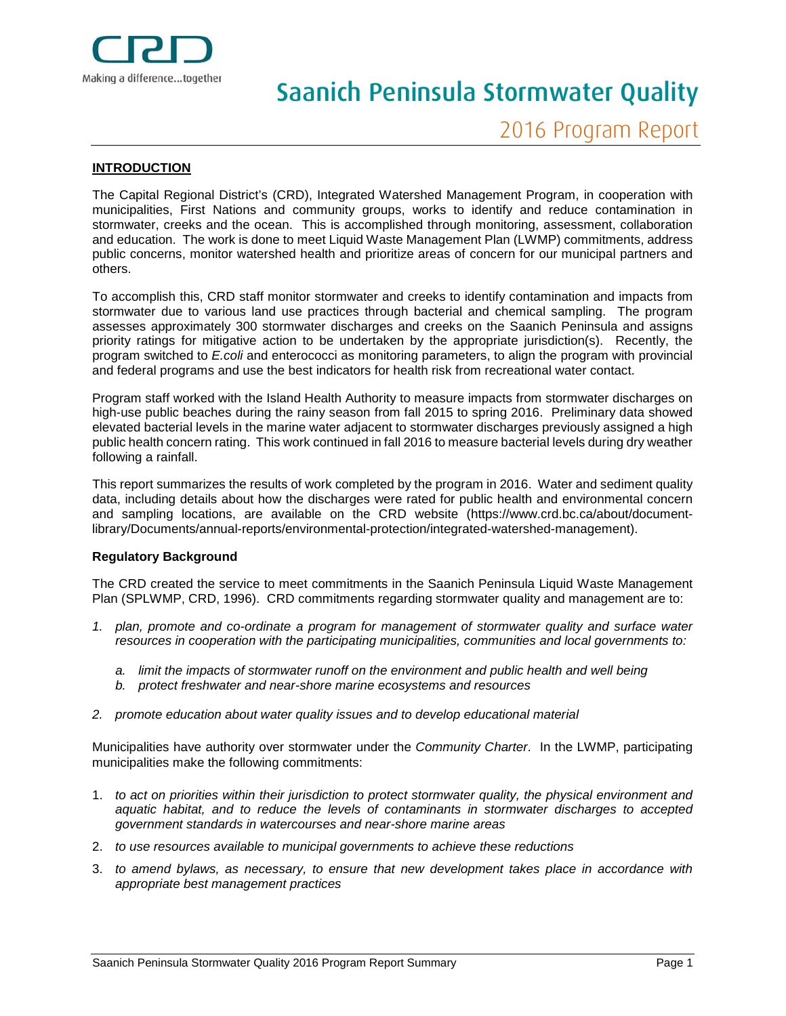

# Saanich Peninsula Stormwater Quality

### **INTRODUCTION**

The Capital Regional District's (CRD), Integrated Watershed Management Program, in cooperation with municipalities, First Nations and community groups, works to identify and reduce contamination in stormwater, creeks and the ocean. This is accomplished through monitoring, assessment, collaboration and education. The work is done to meet Liquid Waste Management Plan (LWMP) commitments, address public concerns, monitor watershed health and prioritize areas of concern for our municipal partners and others.

To accomplish this, CRD staff monitor stormwater and creeks to identify contamination and impacts from stormwater due to various land use practices through bacterial and chemical sampling. The program assesses approximately 300 stormwater discharges and creeks on the Saanich Peninsula and assigns priority ratings for mitigative action to be undertaken by the appropriate jurisdiction(s). Recently, the program switched to *E.coli* and enterococci as monitoring parameters, to align the program with provincial and federal programs and use the best indicators for health risk from recreational water contact.

Program staff worked with the Island Health Authority to measure impacts from stormwater discharges on high-use public beaches during the rainy season from fall 2015 to spring 2016. Preliminary data showed elevated bacterial levels in the marine water adjacent to stormwater discharges previously assigned a high public health concern rating. This work continued in fall 2016 to measure bacterial levels during dry weather following a rainfall.

This report summarizes the results of work completed by the program in 2016. Water and sediment quality data, including details about how the discharges were rated for public health and environmental concern and sampling locations, are available on the CRD website (https://www.crd.bc.ca/about/documentlibrary/Documents/annual-reports/environmental-protection/integrated-watershed-management).

#### **Regulatory Background**

The CRD created the service to meet commitments in the Saanich Peninsula Liquid Waste Management Plan (SPLWMP, CRD, 1996). CRD commitments regarding stormwater quality and management are to:

- *1. plan, promote and co-ordinate a program for management of stormwater quality and surface water resources in cooperation with the participating municipalities, communities and local governments to:*
	- *a. limit the impacts of stormwater runoff on the environment and public health and well being*
	- *b. protect freshwater and near-shore marine ecosystems and resources*
- *2. promote education about water quality issues and to develop educational material*

Municipalities have authority over stormwater under the *Community Charter*. In the LWMP, participating municipalities make the following commitments:

- 1. *to act on priorities within their jurisdiction to protect stormwater quality, the physical environment and aquatic habitat, and to reduce the levels of contaminants in stormwater discharges to accepted government standards in watercourses and near-shore marine areas*
- 2. *to use resources available to municipal governments to achieve these reductions*
- 3. *to amend bylaws, as necessary, to ensure that new development takes place in accordance with appropriate best management practices*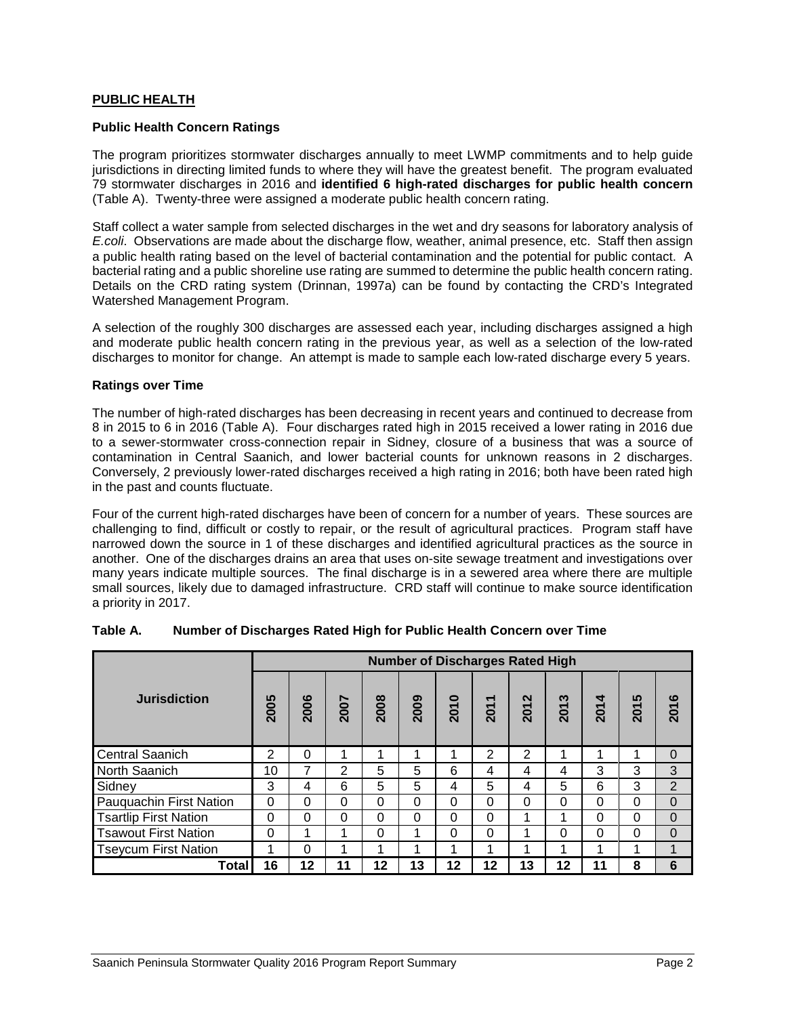## **PUBLIC HEALTH**

#### **Public Health Concern Ratings**

The program prioritizes stormwater discharges annually to meet LWMP commitments and to help guide jurisdictions in directing limited funds to where they will have the greatest benefit. The program evaluated 79 stormwater discharges in 2016 and **identified 6 high-rated discharges for public health concern** (Table A). Twenty-three were assigned a moderate public health concern rating.

Staff collect a water sample from selected discharges in the wet and dry seasons for laboratory analysis of *E.coli*. Observations are made about the discharge flow, weather, animal presence, etc. Staff then assign a public health rating based on the level of bacterial contamination and the potential for public contact. A bacterial rating and a public shoreline use rating are summed to determine the public health concern rating. Details on the CRD rating system (Drinnan, 1997a) can be found by contacting the CRD's Integrated Watershed Management Program.

A selection of the roughly 300 discharges are assessed each year, including discharges assigned a high and moderate public health concern rating in the previous year, as well as a selection of the low-rated discharges to monitor for change. An attempt is made to sample each low-rated discharge every 5 years.

#### **Ratings over Time**

The number of high-rated discharges has been decreasing in recent years and continued to decrease from 8 in 2015 to 6 in 2016 (Table A). Four discharges rated high in 2015 received a lower rating in 2016 due to a sewer-stormwater cross-connection repair in Sidney, closure of a business that was a source of contamination in Central Saanich, and lower bacterial counts for unknown reasons in 2 discharges. Conversely, 2 previously lower-rated discharges received a high rating in 2016; both have been rated high in the past and counts fluctuate.

Four of the current high-rated discharges have been of concern for a number of years. These sources are challenging to find, difficult or costly to repair, or the result of agricultural practices. Program staff have narrowed down the source in 1 of these discharges and identified agricultural practices as the source in another. One of the discharges drains an area that uses on-site sewage treatment and investigations over many years indicate multiple sources. The final discharge is in a sewered area where there are multiple small sources, likely due to damaged infrastructure. CRD staff will continue to make source identification a priority in 2017.

|                              | <b>Number of Discharges Rated High</b> |          |          |          |          |      |                             |          |          |          |                 |                |
|------------------------------|----------------------------------------|----------|----------|----------|----------|------|-----------------------------|----------|----------|----------|-----------------|----------------|
| <b>Jurisdiction</b>          | 2005                                   | 2006     | 2007     | 2008     | 2009     | 2010 | $\blacktriangledown$<br>201 | 2012     | ణ<br>201 | 4<br>201 | 5<br><b>201</b> | ဖ<br>201       |
| <b>Central Saanich</b>       | 2                                      | $\Omega$ |          |          | 1        | 4    | 2                           | 2        | 4        |          | и               | $\Omega$       |
| North Saanich                | 10                                     |          | 2        | 5        | 5        | 6    | 4                           | 4        | 4        | 3        | 3               | 3              |
| Sidney                       | 3                                      | 4        | 6        | 5        | 5        | 4    | 5                           | 4        | 5        | 6        | 3               | $\overline{2}$ |
| Pauquachin First Nation      | $\Omega$                               | $\Omega$ | $\Omega$ | $\Omega$ | $\Omega$ | 0    | $\Omega$                    | $\Omega$ | $\Omega$ | 0        | $\Omega$        | $\Omega$       |
| <b>Tsartlip First Nation</b> | $\Omega$                               | $\Omega$ | $\Omega$ | $\Omega$ | 0        | 0    | $\Omega$                    | 4        | 4        | 0        | 0               | $\Omega$       |
| <b>Tsawout First Nation</b>  | $\Omega$                               |          |          | 0        | 4        | 0    | 0                           | 4        | 0        | 0        | 0               | $\Omega$       |
| <b>Tseycum First Nation</b>  | ◢                                      | $\Omega$ |          |          | 1        | 4    | 1                           | 4        | 1        |          | 1               | $\mathbf 1$    |
| Total                        | 16                                     | 12       | 11       | 12       | 13       | 12   | 12                          | 13       | 12       | 11       | 8               | 6              |

#### **Table A. Number of Discharges Rated High for Public Health Concern over Time**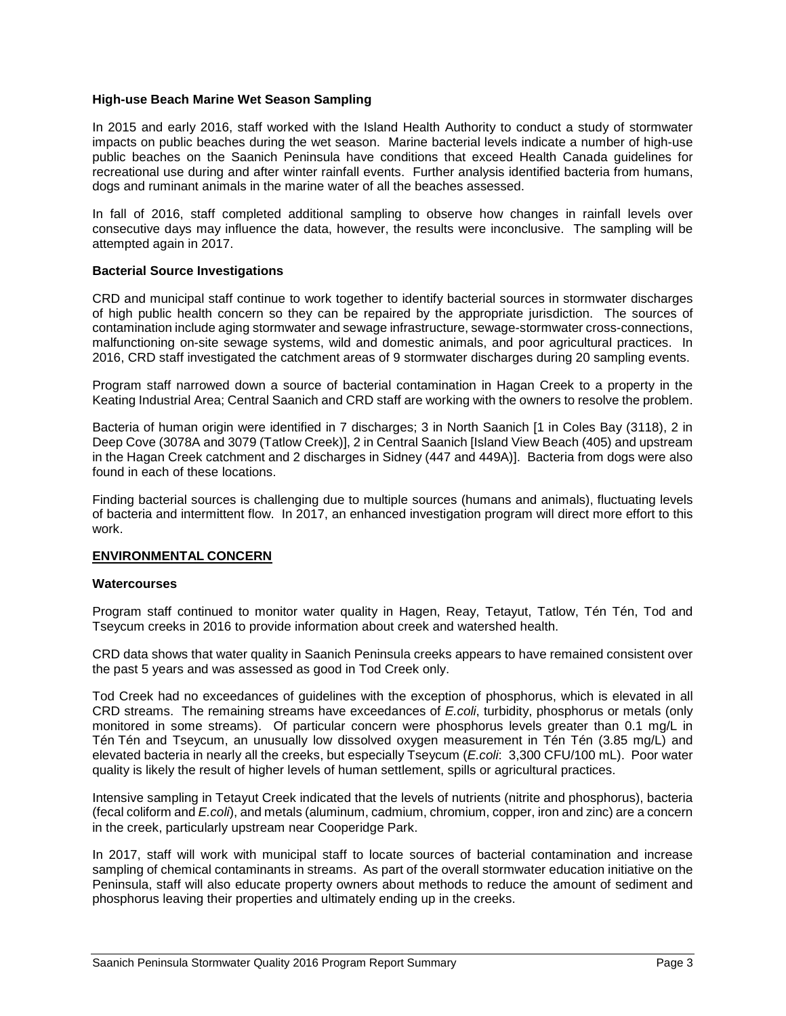## **High-use Beach Marine Wet Season Sampling**

In 2015 and early 2016, staff worked with the Island Health Authority to conduct a study of stormwater impacts on public beaches during the wet season. Marine bacterial levels indicate a number of high-use public beaches on the Saanich Peninsula have conditions that exceed Health Canada guidelines for recreational use during and after winter rainfall events. Further analysis identified bacteria from humans, dogs and ruminant animals in the marine water of all the beaches assessed.

In fall of 2016, staff completed additional sampling to observe how changes in rainfall levels over consecutive days may influence the data, however, the results were inconclusive. The sampling will be attempted again in 2017.

#### **Bacterial Source Investigations**

CRD and municipal staff continue to work together to identify bacterial sources in stormwater discharges of high public health concern so they can be repaired by the appropriate jurisdiction. The sources of contamination include aging stormwater and sewage infrastructure, sewage-stormwater cross-connections, malfunctioning on-site sewage systems, wild and domestic animals, and poor agricultural practices. In 2016, CRD staff investigated the catchment areas of 9 stormwater discharges during 20 sampling events.

Program staff narrowed down a source of bacterial contamination in Hagan Creek to a property in the Keating Industrial Area; Central Saanich and CRD staff are working with the owners to resolve the problem.

Bacteria of human origin were identified in 7 discharges; 3 in North Saanich [1 in Coles Bay (3118), 2 in Deep Cove (3078A and 3079 (Tatlow Creek)], 2 in Central Saanich [Island View Beach (405) and upstream in the Hagan Creek catchment and 2 discharges in Sidney (447 and 449A)]. Bacteria from dogs were also found in each of these locations.

Finding bacterial sources is challenging due to multiple sources (humans and animals), fluctuating levels of bacteria and intermittent flow. In 2017, an enhanced investigation program will direct more effort to this work.

#### **ENVIRONMENTAL CONCERN**

#### **Watercourses**

Program staff continued to monitor water quality in Hagen, Reay, Tetayut, Tatlow, Tén Tén, Tod and Tseycum creeks in 2016 to provide information about creek and watershed health.

CRD data shows that water quality in Saanich Peninsula creeks appears to have remained consistent over the past 5 years and was assessed as good in Tod Creek only.

Tod Creek had no exceedances of guidelines with the exception of phosphorus, which is elevated in all CRD streams. The remaining streams have exceedances of *E.coli*, turbidity, phosphorus or metals (only monitored in some streams). Of particular concern were phosphorus levels greater than 0.1 mg/L in Tén Tén and Tseycum, an unusually low dissolved oxygen measurement in Tén Tén (3.85 mg/L) and elevated bacteria in nearly all the creeks, but especially Tseycum (*E.coli*: 3,300 CFU/100 mL). Poor water quality is likely the result of higher levels of human settlement, spills or agricultural practices.

Intensive sampling in Tetayut Creek indicated that the levels of nutrients (nitrite and phosphorus), bacteria (fecal coliform and *E.coli*), and metals (aluminum, cadmium, chromium, copper, iron and zinc) are a concern in the creek, particularly upstream near Cooperidge Park.

In 2017, staff will work with municipal staff to locate sources of bacterial contamination and increase sampling of chemical contaminants in streams. As part of the overall stormwater education initiative on the Peninsula, staff will also educate property owners about methods to reduce the amount of sediment and phosphorus leaving their properties and ultimately ending up in the creeks.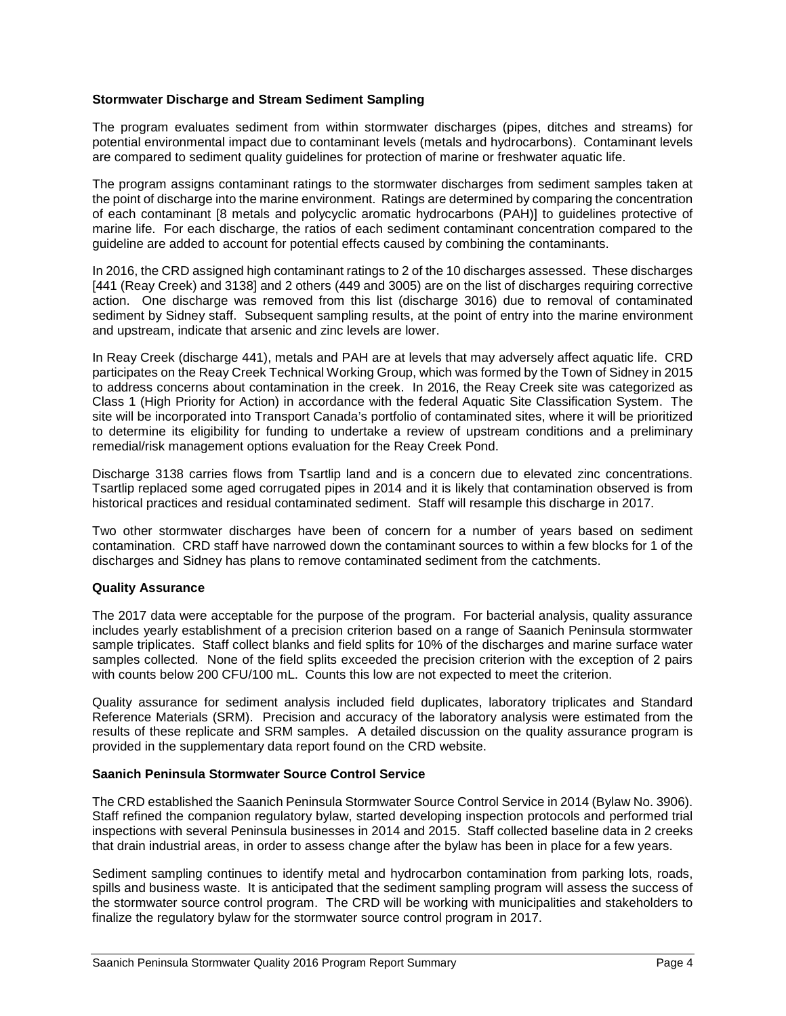## **Stormwater Discharge and Stream Sediment Sampling**

The program evaluates sediment from within stormwater discharges (pipes, ditches and streams) for potential environmental impact due to contaminant levels (metals and hydrocarbons). Contaminant levels are compared to sediment quality guidelines for protection of marine or freshwater aquatic life.

The program assigns contaminant ratings to the stormwater discharges from sediment samples taken at the point of discharge into the marine environment. Ratings are determined by comparing the concentration of each contaminant [8 metals and polycyclic aromatic hydrocarbons (PAH)] to guidelines protective of marine life. For each discharge, the ratios of each sediment contaminant concentration compared to the guideline are added to account for potential effects caused by combining the contaminants.

In 2016, the CRD assigned high contaminant ratings to 2 of the 10 discharges assessed. These discharges [441 (Reay Creek) and 3138] and 2 others (449 and 3005) are on the list of discharges requiring corrective action. One discharge was removed from this list (discharge 3016) due to removal of contaminated sediment by Sidney staff. Subsequent sampling results, at the point of entry into the marine environment and upstream, indicate that arsenic and zinc levels are lower.

In Reay Creek (discharge 441), metals and PAH are at levels that may adversely affect aquatic life. CRD participates on the Reay Creek Technical Working Group, which was formed by the Town of Sidney in 2015 to address concerns about contamination in the creek. In 2016, the Reay Creek site was categorized as Class 1 (High Priority for Action) in accordance with the federal Aquatic Site Classification System. The site will be incorporated into Transport Canada's portfolio of contaminated sites, where it will be prioritized to determine its eligibility for funding to undertake a review of upstream conditions and a preliminary remedial/risk management options evaluation for the Reay Creek Pond.

Discharge 3138 carries flows from Tsartlip land and is a concern due to elevated zinc concentrations. Tsartlip replaced some aged corrugated pipes in 2014 and it is likely that contamination observed is from historical practices and residual contaminated sediment. Staff will resample this discharge in 2017.

Two other stormwater discharges have been of concern for a number of years based on sediment contamination. CRD staff have narrowed down the contaminant sources to within a few blocks for 1 of the discharges and Sidney has plans to remove contaminated sediment from the catchments.

#### **Quality Assurance**

The 2017 data were acceptable for the purpose of the program. For bacterial analysis, quality assurance includes yearly establishment of a precision criterion based on a range of Saanich Peninsula stormwater sample triplicates. Staff collect blanks and field splits for 10% of the discharges and marine surface water samples collected. None of the field splits exceeded the precision criterion with the exception of 2 pairs with counts below 200 CFU/100 mL. Counts this low are not expected to meet the criterion.

Quality assurance for sediment analysis included field duplicates, laboratory triplicates and Standard Reference Materials (SRM). Precision and accuracy of the laboratory analysis were estimated from the results of these replicate and SRM samples. A detailed discussion on the quality assurance program is provided in the supplementary data report found on the CRD website.

#### **Saanich Peninsula Stormwater Source Control Service**

The CRD established the Saanich Peninsula Stormwater Source Control Service in 2014 (Bylaw No. 3906). Staff refined the companion regulatory bylaw, started developing inspection protocols and performed trial inspections with several Peninsula businesses in 2014 and 2015. Staff collected baseline data in 2 creeks that drain industrial areas, in order to assess change after the bylaw has been in place for a few years.

Sediment sampling continues to identify metal and hydrocarbon contamination from parking lots, roads, spills and business waste. It is anticipated that the sediment sampling program will assess the success of the stormwater source control program. The CRD will be working with municipalities and stakeholders to finalize the regulatory bylaw for the stormwater source control program in 2017.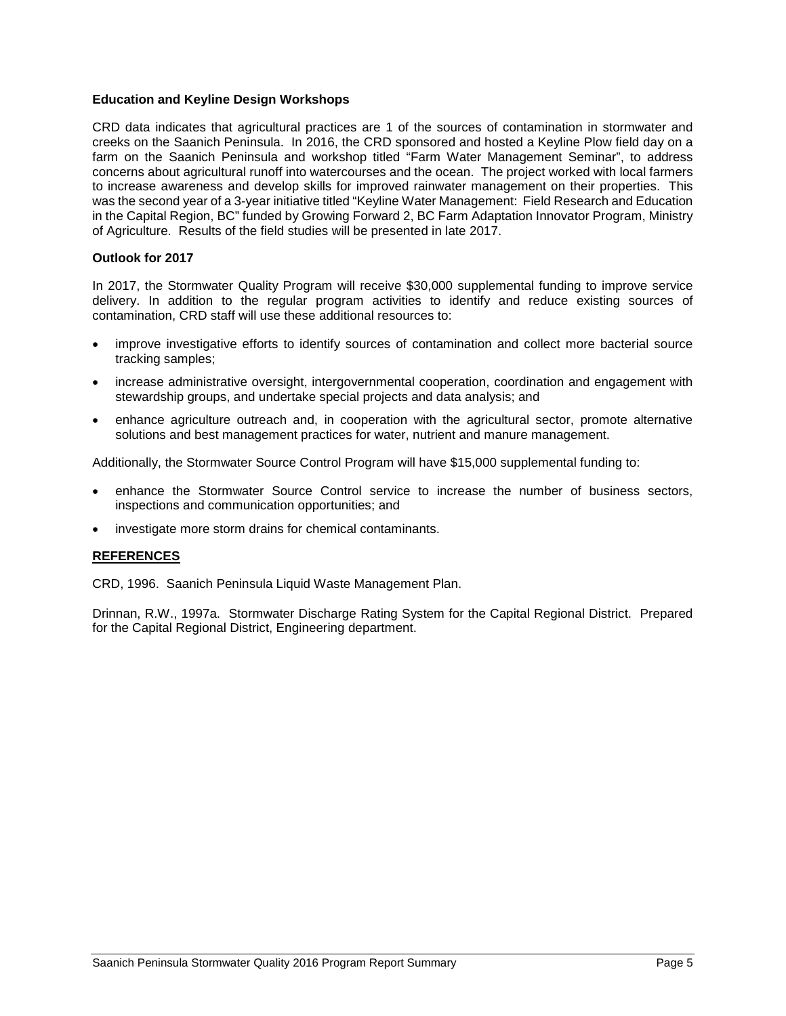## **Education and Keyline Design Workshops**

CRD data indicates that agricultural practices are 1 of the sources of contamination in stormwater and creeks on the Saanich Peninsula. In 2016, the CRD sponsored and hosted a Keyline Plow field day on a farm on the Saanich Peninsula and workshop titled "Farm Water Management Seminar", to address concerns about agricultural runoff into watercourses and the ocean. The project worked with local farmers to increase awareness and develop skills for improved rainwater management on their properties. This was the second year of a 3-year initiative titled "Keyline Water Management: Field Research and Education in the Capital Region, BC" funded by Growing Forward 2, BC Farm Adaptation Innovator Program, Ministry of Agriculture. Results of the field studies will be presented in late 2017.

#### **Outlook for 2017**

In 2017, the Stormwater Quality Program will receive \$30,000 supplemental funding to improve service delivery. In addition to the regular program activities to identify and reduce existing sources of contamination, CRD staff will use these additional resources to:

- improve investigative efforts to identify sources of contamination and collect more bacterial source tracking samples;
- increase administrative oversight, intergovernmental cooperation, coordination and engagement with stewardship groups, and undertake special projects and data analysis; and
- enhance agriculture outreach and, in cooperation with the agricultural sector, promote alternative solutions and best management practices for water, nutrient and manure management.

Additionally, the Stormwater Source Control Program will have \$15,000 supplemental funding to:

- enhance the Stormwater Source Control service to increase the number of business sectors, inspections and communication opportunities; and
- investigate more storm drains for chemical contaminants.

## **REFERENCES**

CRD, 1996. Saanich Peninsula Liquid Waste Management Plan.

Drinnan, R.W., 1997a. Stormwater Discharge Rating System for the Capital Regional District. Prepared for the Capital Regional District, Engineering department.